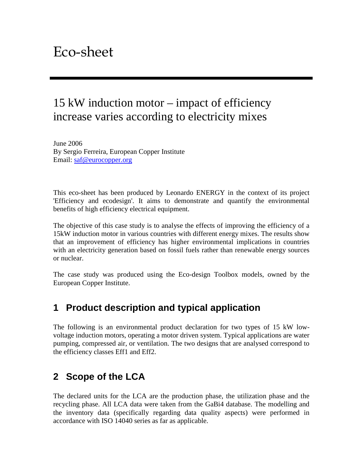# 15 kW induction motor – impact of efficiency increase varies according to electricity mixes

June 2006 By Sergio Ferreira, European Copper Institute Email: saf@eurocopper.org

This eco-sheet has been produced by Leonardo ENERGY in the context of its project 'Efficiency and ecodesign'. It aims to demonstrate and quantify the environmental benefits of high efficiency electrical equipment.

The objective of this case study is to analyse the effects of improving the efficiency of a 15kW induction motor in various countries with different energy mixes. The results show that an improvement of efficiency has higher environmental implications in countries with an electricity generation based on fossil fuels rather than renewable energy sources or nuclear.

The case study was produced using the Eco-design Toolbox models, owned by the European Copper Institute.

## **1 Product description and typical application**

The following is an environmental product declaration for two types of 15 kW lowvoltage induction motors, operating a motor driven system. Typical applications are water pumping, compressed air, or ventilation. The two designs that are analysed correspond to the efficiency classes Eff1 and Eff2.

### **2 Scope of the LCA**

The declared units for the LCA are the production phase, the utilization phase and the recycling phase. All LCA data were taken from the GaBi4 database. The modelling and the inventory data (specifically regarding data quality aspects) were performed in accordance with ISO 14040 series as far as applicable.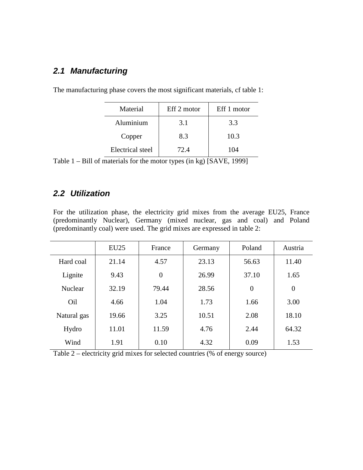#### **2.1 Manufacturing**

| Material                | Eff 2 motor | Eff 1 motor |
|-------------------------|-------------|-------------|
| Aluminium               | 3.1         | 3.3         |
| Copper                  | 8.3         | 10.3        |
| <b>Electrical</b> steel | 72.4        | 104         |

The manufacturing phase covers the most significant materials, cf table 1:

Table 1 – Bill of materials for the motor types (in kg) [SAVE, 1999]

#### **2.2 Utilization**

For the utilization phase, the electricity grid mixes from the average EU25, France (predominantly Nuclear), Germany (mixed nuclear, gas and coal) and Poland (predominantly coal) were used. The grid mixes are expressed in table 2:

|                | EU25  | France         | Germany | Poland   | Austria        |
|----------------|-------|----------------|---------|----------|----------------|
| Hard coal      | 21.14 | 4.57           | 23.13   | 56.63    | 11.40          |
| Lignite        | 9.43  | $\overline{0}$ | 26.99   | 37.10    | 1.65           |
| <b>Nuclear</b> | 32.19 | 79.44          | 28.56   | $\theta$ | $\overline{0}$ |
| Oil            | 4.66  | 1.04           | 1.73    | 1.66     | 3.00           |
| Natural gas    | 19.66 | 3.25           | 10.51   | 2.08     | 18.10          |
| Hydro          | 11.01 | 11.59          | 4.76    | 2.44     | 64.32          |
| Wind           | 1.91  | 0.10           | 4.32    | 0.09     | 1.53           |

Table 2 – electricity grid mixes for selected countries (% of energy source)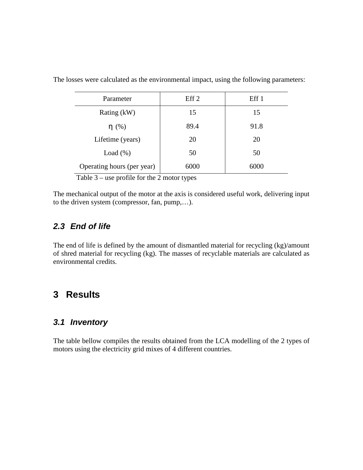| Parameter                  | Eff 2 | Eff 1 |
|----------------------------|-------|-------|
| Rating (kW)                | 15    | 15    |
| $\eta$ (%)                 | 89.4  | 91.8  |
| Lifetime (years)           | 20    | 20    |
| Load $(\%)$                | 50    | 50    |
| Operating hours (per year) | 6000  | 6000  |

The losses were calculated as the environmental impact, using the following parameters:

Table 3 – use profile for the 2 motor types

The mechanical output of the motor at the axis is considered useful work, delivering input to the driven system (compressor, fan, pump,…).

#### **2.3 End of life**

The end of life is defined by the amount of dismantled material for recycling (kg)/amount of shred material for recycling (kg). The masses of recyclable materials are calculated as environmental credits.

### **3 Results**

#### **3.1 Inventory**

The table bellow compiles the results obtained from the LCA modelling of the 2 types of motors using the electricity grid mixes of 4 different countries.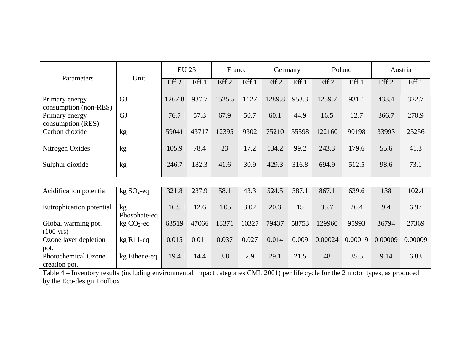|                                            |                          | <b>EU 25</b>     |       | France           |       | Germany          |       | Poland           |         | Austria          |         |
|--------------------------------------------|--------------------------|------------------|-------|------------------|-------|------------------|-------|------------------|---------|------------------|---------|
| Parameters                                 | Unit                     | Eff <sub>2</sub> | Eff 1 | Eff <sub>2</sub> | Eff1  | Eff <sub>2</sub> | Eff 1 | Eff <sub>2</sub> | Eff 1   | Eff <sub>2</sub> | Eff 1   |
| Primary energy<br>consumption (non-RES)    | <b>GJ</b>                | 1267.8           | 937.7 | 1525.5           | 1127  | 1289.8           | 953.3 | 1259.7           | 931.1   | 433.4            | 322.7   |
| Primary energy<br>consumption (RES)        | <b>GJ</b>                | 76.7             | 57.3  | 67.9             | 50.7  | 60.1             | 44.9  | 16.5             | 12.7    | 366.7            | 270.9   |
| Carbon dioxide                             | kg                       | 59041            | 43717 | 12395            | 9302  | 75210            | 55598 | 122160           | 90198   | 33993            | 25256   |
| Nitrogen Oxides                            | kg                       | 105.9            | 78.4  | 23               | 17.2  | 134.2            | 99.2  | 243.3            | 179.6   | 55.6             | 41.3    |
| Sulphur dioxide                            | kg                       | 246.7            | 182.3 | 41.6             | 30.9  | 429.3            | 316.8 | 694.9            | 512.5   | 98.6             | 73.1    |
|                                            |                          |                  |       |                  |       |                  |       |                  |         |                  |         |
| Acidification potential                    | $kg SO2$ -eq             | 321.8            | 237.9 | 58.1             | 43.3  | 524.5            | 387.1 | 867.1            | 639.6   | 138              | 102.4   |
| Eutrophication potential                   | kg<br>Phosphate-eq       | 16.9             | 12.6  | 4.05             | 3.02  | 20.3             | 15    | 35.7             | 26.4    | 9.4              | 6.97    |
| Global warming pot.<br>$(100 \text{ yrs})$ | $kg CO2$ -eq             | 63519            | 47066 | 13371            | 10327 | 79437            | 58753 | 129960           | 95993   | 36794            | 27369   |
| Ozone layer depletion<br>pot.              | $kg$ R <sub>1</sub> 1-eq | 0.015            | 0.011 | 0.037            | 0.027 | 0.014            | 0.009 | 0.00024          | 0.00019 | 0.00009          | 0.00009 |
| Photochemical Ozone<br>creation pot.       | kg Ethene-eq             | 19.4             | 14.4  | 3.8              | 2.9   | 29.1             | 21.5  | 48               | 35.5    | 9.14             | 6.83    |

creation pot. Table 4 – Inventory results (including environmental impact categories CML 2001) per life cycle for the 2 motor types, as produced by the Eco-design Toolbox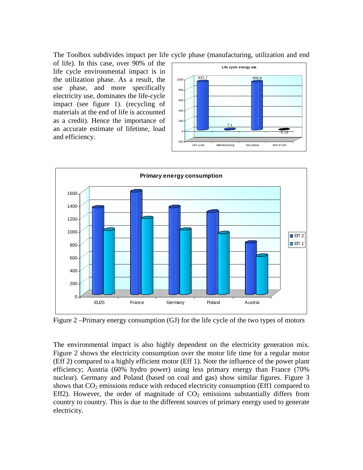The Toolbox subdivides impact per life cycle phase (manufacturing, utilization and end

of life). In this case, over 90% of the life cycle environmental impact is in the utilization phase. As a result, the use phase, and more specifically electricity use, dominates the life-cycle impact (see figure 1). (recycling of materials at the end of life is accounted as a credit). Hence the importance of an accurate estimate of lifetime, load and efficiency.





Figure 2 –Primary energy consumption (GJ) for the life cycle of the two types of motors

The environmental impact is also highly dependent on the electricity generation mix. Figure 2 shows the electricity consumption over the motor life time for a regular motor (Eff 2) compared to a highly efficient motor (Eff 1). Note the influence of the power plant efficiency; Austria (60% hydro power) using less primary energy than France (70% nuclear). Germany and Poland (based on coal and gas) show similar figures. Figure 3 shows that  $CO<sub>2</sub>$  emissions reduce with reduced electricity consumption (Eff1 compared to Eff2). However, the order of magnitude of  $CO<sub>2</sub>$  emissions substantially differs from country to country. This is due to the different sources of primary energy used to generate electricity.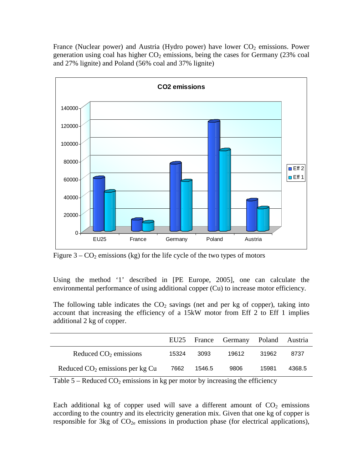France (Nuclear power) and Austria (Hydro power) have lower  $CO<sub>2</sub>$  emissions. Power generation using coal has higher  $CO<sub>2</sub>$  emissions, being the cases for Germany (23% coal and 27% lignite) and Poland (56% coal and 37% lignite)



Figure  $3 - CO_2$  emissions (kg) for the life cycle of the two types of motors

Using the method '1' described in [PE Europe, 2005], one can calculate the environmental performance of using additional copper (Cu) to increase motor efficiency.

The following table indicates the  $CO<sub>2</sub>$  savings (net and per kg of copper), taking into account that increasing the efficiency of a 15kW motor from Eff 2 to Eff 1 implies additional 2 kg of copper.

|                                   | EU25  |        | France Germany Poland Austria |       |        |
|-----------------------------------|-------|--------|-------------------------------|-------|--------|
| Reduced $CO2$ emissions           | 15324 | 3093   | 19612                         | 31962 | 8737   |
| Reduced $CO2$ emissions per kg Cu | 7662  | 1546.5 | 9806                          | 15981 | 4368.5 |

Table  $5 -$  Reduced  $CO_2$  emissions in kg per motor by increasing the efficiency

Each additional kg of copper used will save a different amount of  $CO<sub>2</sub>$  emissions according to the country and its electricity generation mix. Given that one kg of copper is responsible for  $3kg$  of  $CO<sub>2e</sub>$  emissions in production phase (for electrical applications),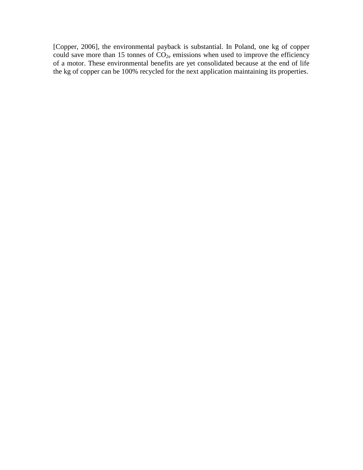[Copper, 2006], the environmental payback is substantial. In Poland, one kg of copper could save more than 15 tonnes of  $CO<sub>2e</sub>$  emissions when used to improve the efficiency of a motor. These environmental benefits are yet consolidated because at the end of life the kg of copper can be 100% recycled for the next application maintaining its properties.